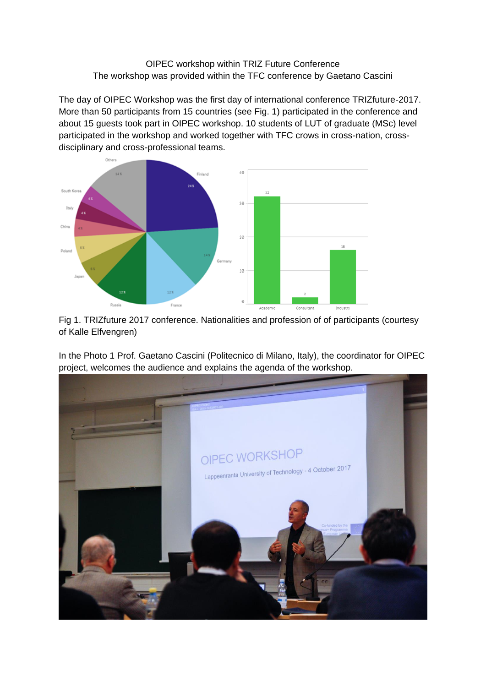## OIPEC workshop within TRIZ Future Conference The workshop was provided within the TFC conference by Gaetano Cascini

The day of OIPEC Workshop was the first day of international conference TRIZfuture-2017. More than 50 participants from 15 countries (see Fig. 1) participated in the conference and about 15 guests took part in OIPEC workshop. 10 students of LUT of graduate (MSc) level participated in the workshop and worked together with TFC crows in cross-nation, crossdisciplinary and cross-professional teams.



Fig 1. TRIZfuture 2017 conference. Nationalities and profession of of participants (courtesy of Kalle Elfvengren)

In the Photo 1 Prof. Gaetano Cascini (Politecnico di Milano, Italy), the coordinator for OIPEC project, welcomes the audience and explains the agenda of the workshop.

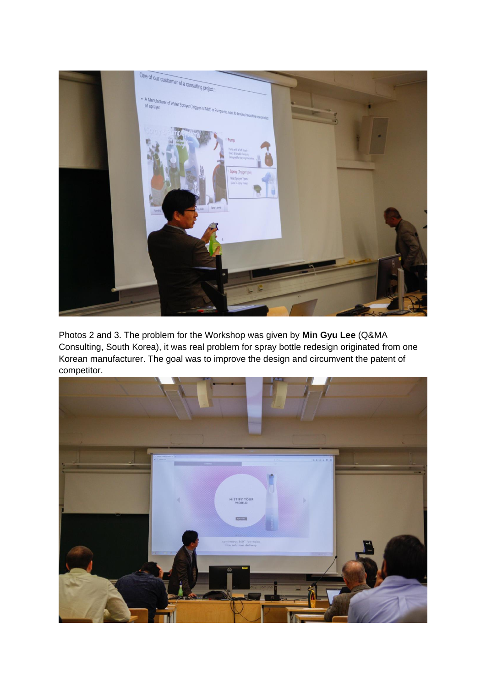

Photos 2 and 3. The problem for the Workshop was given by **Min Gyu Lee** (Q&MA Consulting, South Korea), it was real problem for spray bottle redesign originated from one Korean manufacturer. The goal was to improve the design and circumvent the patent of competitor.

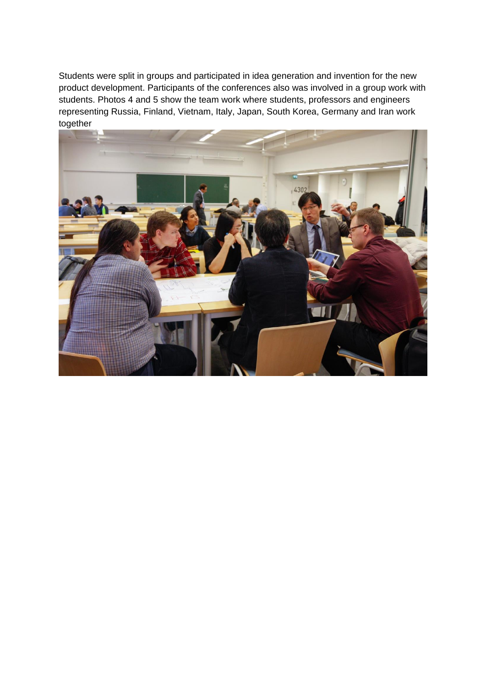Students were split in groups and participated in idea generation and invention for the new product development. Participants of the conferences also was involved in a group work with students. Photos 4 and 5 show the team work where students, professors and engineers representing Russia, Finland, Vietnam, Italy, Japan, South Korea, Germany and Iran work together

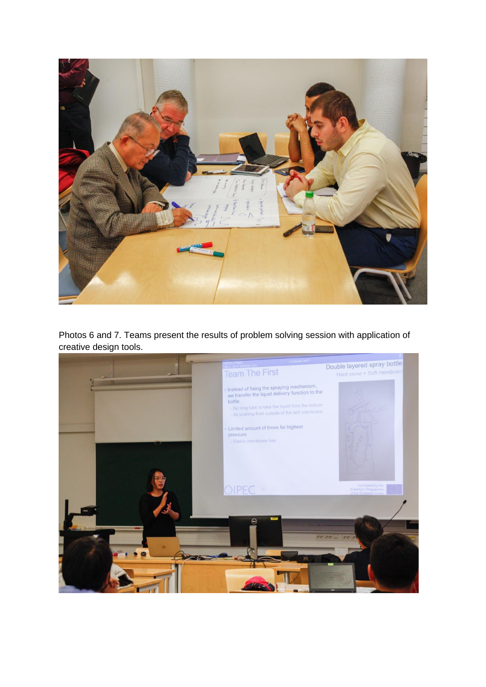

Photos 6 and 7. Teams present the results of problem solving session with application of creative design tools.